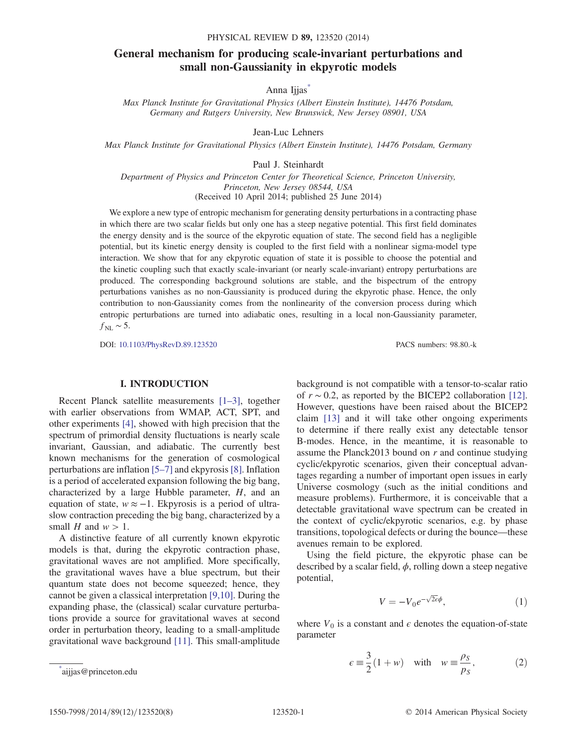# <span id="page-0-1"></span>General mechanism for producing scale-invariant perturbations and small non-Gaussianity in ekpyrotic models

Anna Ijjas<sup>[\\*](#page-0-0)</sup>

Max Planck Institute for Gravitational Physics (Albert Einstein Institute), 14476 Potsdam, Germany and Rutgers University, New Brunswick, New Jersey 08901, USA

Jean-Luc Lehners

Max Planck Institute for Gravitational Physics (Albert Einstein Institute), 14476 Potsdam, Germany

Paul J. Steinhardt

Department of Physics and Princeton Center for Theoretical Science, Princeton University, Princeton, New Jersey 08544, USA (Received 10 April 2014; published 25 June 2014)

We explore a new type of entropic mechanism for generating density perturbations in a contracting phase in which there are two scalar fields but only one has a steep negative potential. This first field dominates the energy density and is the source of the ekpyrotic equation of state. The second field has a negligible potential, but its kinetic energy density is coupled to the first field with a nonlinear sigma-model type interaction. We show that for any ekpyrotic equation of state it is possible to choose the potential and the kinetic coupling such that exactly scale-invariant (or nearly scale-invariant) entropy perturbations are produced. The corresponding background solutions are stable, and the bispectrum of the entropy perturbations vanishes as no non-Gaussianity is produced during the ekpyrotic phase. Hence, the only contribution to non-Gaussianity comes from the nonlinearity of the conversion process during which entropic perturbations are turned into adiabatic ones, resulting in a local non-Gaussianity parameter,  $f_{\text{NL}}$  ~ 5.

DOI: [10.1103/PhysRevD.89.123520](http://dx.doi.org/10.1103/PhysRevD.89.123520) PACS numbers: 98.80.-k

## I. INTRODUCTION

Recent Planck satellite measurements [1–[3\]](#page-7-0), together with earlier observations from WMAP, ACT, SPT, and other experiments [\[4\],](#page-7-1) showed with high precision that the spectrum of primordial density fluctuations is nearly scale invariant, Gaussian, and adiabatic. The currently best known mechanisms for the generation of cosmological perturbations are inflation [\[5](#page-7-2)–7] and ekpyrosis [\[8\].](#page-7-3) Inflation is a period of accelerated expansion following the big bang, characterized by a large Hubble parameter,  $H$ , and an equation of state,  $w \approx -1$ . Ekpyrosis is a period of ultraslow contraction preceding the big bang, characterized by a small H and  $w > 1$ .

A distinctive feature of all currently known ekpyrotic models is that, during the ekpyrotic contraction phase, gravitational waves are not amplified. More specifically, the gravitational waves have a blue spectrum, but their quantum state does not become squeezed; hence, they cannot be given a classical interpretation [\[9,10\]](#page-7-4). During the expanding phase, the (classical) scalar curvature perturbations provide a source for gravitational waves at second order in perturbation theory, leading to a small-amplitude gravitational wave background [\[11\]](#page-7-5). This small-amplitude

background is not compatible with a tensor-to-scalar ratio of  $r \sim 0.2$ , as reported by the BICEP2 collaboration [\[12\]](#page-7-6). However, questions have been raised about the BICEP2 claim [\[13\]](#page-7-7) and it will take other ongoing experiments to determine if there really exist any detectable tensor B-modes. Hence, in the meantime, it is reasonable to assume the Planck2013 bound on  $r$  and continue studying cyclic/ekpyrotic scenarios, given their conceptual advantages regarding a number of important open issues in early Universe cosmology (such as the initial conditions and measure problems). Furthermore, it is conceivable that a detectable gravitational wave spectrum can be created in the context of cyclic/ekpyrotic scenarios, e.g. by phase transitions, topological defects or during the bounce—these avenues remain to be explored.

Using the field picture, the ekpyrotic phase can be described by a scalar field,  $\phi$ , rolling down a steep negative potential,

$$
V = -V_0 e^{-\sqrt{2\epsilon}\phi},\tag{1}
$$

where  $V_0$  is a constant and  $\epsilon$  denotes the equation-of-state parameter

<span id="page-0-0"></span>
$$
\epsilon = \frac{3}{2}(1+w) \quad \text{with} \quad w = \frac{\rho_S}{p_S},\tag{2}
$$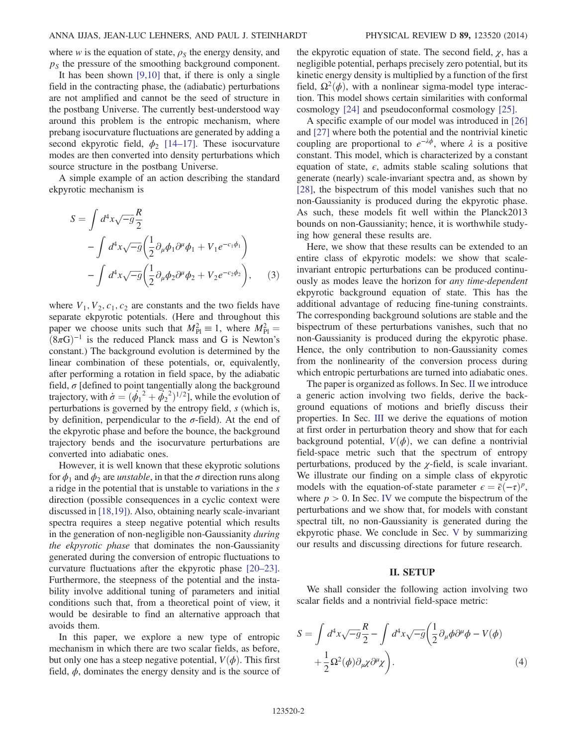where w is the equation of state,  $\rho_s$  the energy density, and  $p<sub>S</sub>$  the pressure of the smoothing background component.

It has been shown  $[9,10]$  that, if there is only a single field in the contracting phase, the (adiabatic) perturbations are not amplified and cannot be the seed of structure in the postbang Universe. The currently best-understood way around this problem is the entropic mechanism, where prebang isocurvature fluctuations are generated by adding a second ekpyrotic field,  $\phi_2$  [\[14](#page-7-8)–17]. These isocurvature modes are then converted into density perturbations which source structure in the postbang Universe.

A simple example of an action describing the standard ekpyrotic mechanism is

$$
S = \int d^4x \sqrt{-g} \frac{R}{2}
$$
  
- 
$$
\int d^4x \sqrt{-g} \left( \frac{1}{2} \partial_\mu \phi_1 \partial^\mu \phi_1 + V_1 e^{-c_1 \phi_1} \right)
$$
  
- 
$$
\int d^4x \sqrt{-g} \left( \frac{1}{2} \partial_\mu \phi_2 \partial^\mu \phi_2 + V_2 e^{-c_2 \phi_2} \right), \quad (3)
$$

where  $V_1$ ,  $V_2$ ,  $c_1$ ,  $c_2$  are constants and the two fields have separate ekpyrotic potentials. (Here and throughout this paper we choose units such that  $M_{\text{Pl}}^2 \equiv 1$ , where  $M_{\text{Pl}}^2 =$  $(8\pi G)^{-1}$  is the reduced Planck mass and G is Newton's constant.) The background evolution is determined by the linear combination of these potentials, or, equivalently, after performing a rotation in field space, by the adiabatic field,  $\sigma$  [defined to point tangentially along the background trajectory, with  $\dot{\sigma} = (\dot{\phi_1}^2 + \dot{\phi_2}^2)^{1/2}$ , while the evolution of perturbations is governed by the entropy field, s (which is, by definition, perpendicular to the  $\sigma$ -field). At the end of the ekpyrotic phase and before the bounce, the background trajectory bends and the isocurvature perturbations are converted into adiabatic ones.

However, it is well known that these ekyprotic solutions for  $\phi_1$  and  $\phi_2$  are *unstable*, in that the  $\sigma$  direction runs along a ridge in the potential that is unstable to variations in the s direction (possible consequences in a cyclic context were discussed in [\[18,19\]\)](#page-7-9). Also, obtaining nearly scale-invariant spectra requires a steep negative potential which results in the generation of non-negligible non-Gaussianity during the ekpyrotic phase that dominates the non-Gaussianity generated during the conversion of entropic fluctuations to curvature fluctuations after the ekpyrotic phase [\[20](#page-7-10)–23]. Furthermore, the steepness of the potential and the instability involve additional tuning of parameters and initial conditions such that, from a theoretical point of view, it would be desirable to find an alternative approach that avoids them.

In this paper, we explore a new type of entropic mechanism in which there are two scalar fields, as before, but only one has a steep negative potential,  $V(\phi)$ . This first field,  $\phi$ , dominates the energy density and is the source of the ekpyrotic equation of state. The second field,  $\chi$ , has a negligible potential, perhaps precisely zero potential, but its kinetic energy density is multiplied by a function of the first field,  $\Omega^2(\phi)$ , with a nonlinear sigma-model type interaction. This model shows certain similarities with conformal cosmology [\[24\]](#page-7-11) and pseudoconformal cosmology [\[25\].](#page-7-12)

A specific example of our model was introduced in [\[26\]](#page-7-13) and [\[27\]](#page-7-14) where both the potential and the nontrivial kinetic coupling are proportional to  $e^{-\lambda\phi}$ , where  $\lambda$  is a positive constant. This model, which is characterized by a constant equation of state,  $\epsilon$ , admits stable scaling solutions that generate (nearly) scale-invariant spectra and, as shown by [\[28\]](#page-7-15), the bispectrum of this model vanishes such that no non-Gaussianity is produced during the ekpyrotic phase. As such, these models fit well within the Planck2013 bounds on non-Gaussianity; hence, it is worthwhile studying how general these results are.

Here, we show that these results can be extended to an entire class of ekpyrotic models: we show that scaleinvariant entropic perturbations can be produced continuously as modes leave the horizon for any time-dependent ekpyrotic background equation of state. This has the additional advantage of reducing fine-tuning constraints. The corresponding background solutions are stable and the bispectrum of these perturbations vanishes, such that no non-Gaussianity is produced during the ekpyrotic phase. Hence, the only contribution to non-Gaussianity comes from the nonlinearity of the conversion process during which entropic perturbations are turned into adiabatic ones.

The paper is organized as follows. In Sec. [II](#page-1-0) we introduce a generic action involving two fields, derive the background equations of motions and briefly discuss their properties. In Sec. [III](#page-2-0) we derive the equations of motion at first order in perturbation theory and show that for each background potential,  $V(\phi)$ , we can define a nontrivial field-space metric such that the spectrum of entropy perturbations, produced by the  $\chi$ -field, is scale invariant. We illustrate our finding on a simple class of ekpyrotic models with the equation-of-state parameter  $\epsilon = \bar{\epsilon}(-\tau)^p$ , where  $p > 0$ . In Sec. [IV](#page-4-0) we compute the bispectrum of the perturbations and we show that, for models with constant spectral tilt, no non-Gaussianity is generated during the ekpyrotic phase. We conclude in Sec. [V](#page-6-0) by summarizing our results and discussing directions for future research.

### II. SETUP

<span id="page-1-1"></span><span id="page-1-0"></span>We shall consider the following action involving two scalar fields and a nontrivial field-space metric:

$$
S = \int d^4x \sqrt{-g} \frac{R}{2} - \int d^4x \sqrt{-g} \left(\frac{1}{2} \partial_\mu \phi \partial^\mu \phi - V(\phi) + \frac{1}{2} \Omega^2(\phi) \partial_\mu \chi \partial^\mu \chi\right).
$$
\n(4)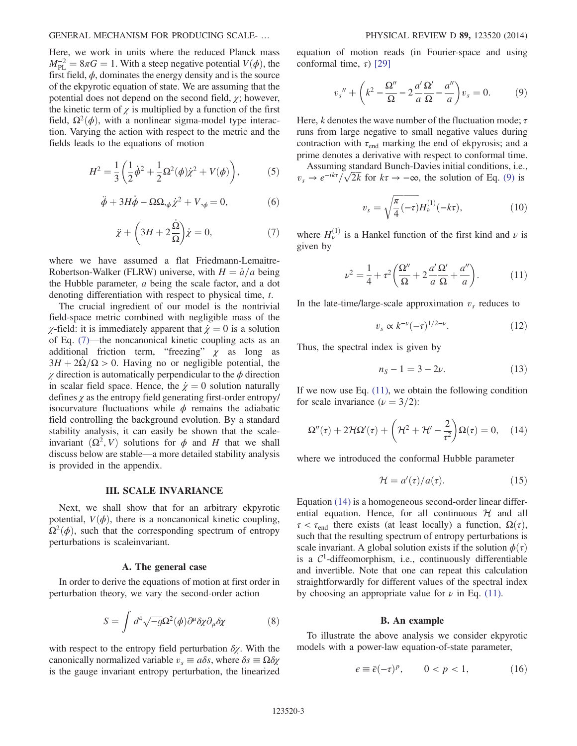### GENERAL MECHANISM FOR PRODUCING SCALE- … PHYSICAL REVIEW D 89, 123520 (2014)

Here, we work in units where the reduced Planck mass  $M_{\text{PL}}^{-2} = 8\pi G = 1$ . With a steep negative potential  $V(\phi)$ , the first field,  $\phi$ , dominates the energy density and is the source of the ekpyrotic equation of state. We are assuming that the potential does not depend on the second field,  $\chi$ ; however, the kinetic term of  $\chi$  is multiplied by a function of the first field,  $\Omega^2(\phi)$ , with a nonlinear sigma-model type interaction. Varying the action with respect to the metric and the fields leads to the equations of motion

<span id="page-2-8"></span><span id="page-2-7"></span>
$$
H^{2} = \frac{1}{3} \left( \frac{1}{2} \dot{\phi}^{2} + \frac{1}{2} \Omega^{2}(\phi) \dot{\chi}^{2} + V(\phi) \right),
$$
 (5)

$$
\ddot{\phi} + 3H\dot{\phi} - \Omega\Omega_{,\phi}\dot{\chi}^2 + V_{,\phi} = 0, \tag{6}
$$

$$
\ddot{\chi} + \left(3H + 2\frac{\dot{\Omega}}{\Omega}\right)\dot{\chi} = 0,\tag{7}
$$

<span id="page-2-1"></span>where we have assumed a flat Friedmann-Lemaitre-Robertson-Walker (FLRW) universe, with  $H = \dot{a}/a$  being the Hubble parameter, a being the scale factor, and a dot denoting differentiation with respect to physical time, t.

The crucial ingredient of our model is the nontrivial field-space metric combined with negligible mass of the *χ*-field: it is immediately apparent that  $\dot{\chi} = 0$  is a solution of Eq. [\(7\)](#page-2-1)—the noncanonical kinetic coupling acts as an additional friction term, "freezing"  $\chi$  as long as  $3H + 2\Omega/\Omega > 0$ . Having no or negligible potential, the  $\chi$  direction is automatically perpendicular to the  $\phi$  direction in scalar field space. Hence, the  $\dot{\chi} = 0$  solution naturally defines  $\gamma$  as the entropy field generating first-order entropy/ isocurvature fluctuations while  $\phi$  remains the adiabatic field controlling the background evolution. By a standard stability analysis, it can easily be shown that the scaleinvariant  $(\Omega^2, V)$  solutions for  $\phi$  and H that we shall discuss below are stable—a more detailed stability analysis is provided in the appendix.

#### III. SCALE INVARIANCE

<span id="page-2-0"></span>Next, we shall show that for an arbitrary ekpyrotic potential,  $V(\phi)$ , there is a noncanonical kinetic coupling,  $\Omega^2(\phi)$ , such that the corresponding spectrum of entropy perturbations is scaleinvariant.

#### A. The general case

<span id="page-2-6"></span>In order to derive the equations of motion at first order in perturbation theory, we vary the second-order action

$$
S = \int d^4 \sqrt{-g} \Omega^2(\phi) \partial^\mu \delta \chi \partial_\mu \delta \chi \tag{8}
$$

with respect to the entropy field perturbation  $\delta \chi$ . With the canonically normalized variable  $v_s \equiv a\delta s$ , where  $\delta s \equiv \Omega \delta \chi$ is the gauge invariant entropy perturbation, the linearized <span id="page-2-2"></span>equation of motion reads (in Fourier-space and using conformal time,  $\tau$ ) [\[29\]](#page-7-16)

$$
v_s'' + \left(k^2 - \frac{\Omega''}{\Omega} - 2\frac{a'}{a}\frac{\Omega'}{\Omega} - \frac{a''}{a}\right)v_s = 0.
$$
 (9)

Here, k denotes the wave number of the fluctuation mode;  $\tau$ runs from large negative to small negative values during contraction with  $\tau_{end}$  marking the end of ekpyrosis; and a prime denotes a derivative with respect to conformal time.

Assuming standard Bunch-Davies initial conditions, i.e., vs →  $e^{-ik\tau}/\sqrt{2k}$  for  $k\tau \to -\infty$ , the solution of Eq. [\(9\)](#page-2-2) is

$$
v_s = \sqrt{\frac{\pi}{4}(-\tau)}H_{\nu}^{(1)}(-k\tau),\tag{10}
$$

<span id="page-2-3"></span>where  $H_{\nu}^{(1)}$  is a Hankel function of the first kind and  $\nu$  is given by

$$
\nu^2 = \frac{1}{4} + \tau^2 \left( \frac{\Omega''}{\Omega} + 2\frac{a'}{a} \frac{\Omega'}{\Omega} + \frac{a''}{a} \right). \tag{11}
$$

<span id="page-2-5"></span>In the late-time/large-scale approximation  $v<sub>s</sub>$  reduces to

$$
v_s \propto k^{-\nu} (-\tau)^{1/2-\nu}.
$$
 (12)

Thus, the spectral index is given by

$$
n_S - 1 = 3 - 2\nu.
$$
 (13)

<span id="page-2-4"></span>If we now use Eq.  $(11)$ , we obtain the following condition for scale invariance  $(\nu = 3/2)$ :

$$
\Omega''(\tau) + 2\mathcal{H}\Omega'(\tau) + \left(\mathcal{H}^2 + \mathcal{H}' - \frac{2}{\tau^2}\right)\Omega(\tau) = 0, \quad (14)
$$

where we introduced the conformal Hubble parameter

$$
\mathcal{H} = a'(\tau)/a(\tau). \tag{15}
$$

Equation [\(14\)](#page-2-4) is a homogeneous second-order linear differential equation. Hence, for all continuous  $H$  and all  $\tau < \tau_{end}$  there exists (at least locally) a function,  $\Omega(\tau)$ , such that the resulting spectrum of entropy perturbations is scale invariant. A global solution exists if the solution  $\phi(\tau)$ is a  $C<sup>1</sup>$ -diffeomorphism, i.e., continuously differentiable and invertible. Note that one can repeat this calculation straightforwardly for different values of the spectral index by choosing an appropriate value for  $\nu$  in Eq. [\(11\).](#page-2-3)

### B. An example

<span id="page-2-9"></span>To illustrate the above analysis we consider ekpyrotic models with a power-law equation-of-state parameter,

$$
\epsilon \equiv \bar{\epsilon}(-\tau)^p, \qquad 0 < p < 1,\tag{16}
$$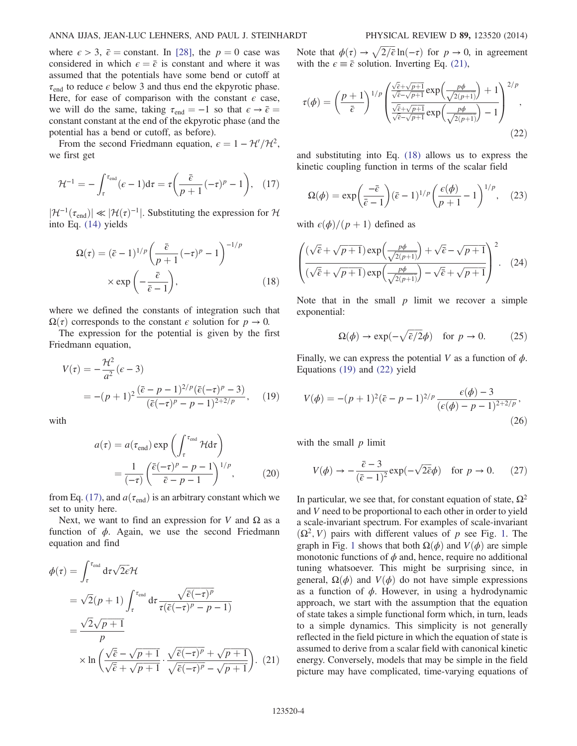where  $\epsilon > 3$ ,  $\bar{\epsilon} =$  constant. In [\[28\],](#page-7-15) the  $p = 0$  case was considered in which  $\epsilon = \bar{\epsilon}$  is constant and where it was assumed that the potentials have some bend or cutoff at  $\tau_{\text{end}}$  to reduce  $\epsilon$  below 3 and thus end the ekpyrotic phase. Here, for ease of comparison with the constant  $\epsilon$  case, we will do the same, taking  $\tau_{end} = -1$  so that  $\epsilon \rightarrow \bar{\epsilon} =$ constant constant at the end of the ekpyrotic phase (and the potential has a bend or cutoff, as before).

<span id="page-3-0"></span>From the second Friedmann equation,  $\epsilon = 1 - \mathcal{H}'/\mathcal{H}^2$ , we first get

$$
\mathcal{H}^{-1} = -\int_{\tau}^{\tau_{\text{end}}} (\epsilon - 1) \mathrm{d}\tau = \tau \left( \frac{\bar{\epsilon}}{p+1} (-\tau)^p - 1 \right), \quad (17)
$$

<span id="page-3-2"></span> $|\mathcal{H}^{-1}(\tau_{end})| \ll |\mathcal{H}(\tau)^{-1}|$ . Substituting the expression for  $\mathcal{H}$ into Eq. [\(14\)](#page-2-4) yields

$$
\Omega(\tau) = (\bar{\epsilon} - 1)^{1/p} \left( \frac{\bar{\epsilon}}{p+1} (-\tau)^p - 1 \right)^{-1/p}
$$

$$
\times \exp\left( -\frac{\bar{\epsilon}}{\bar{\epsilon} - 1} \right), \tag{18}
$$

where we defined the constants of integration such that  $\Omega(\tau)$  corresponds to the constant  $\epsilon$  solution for  $p \to 0$ .

<span id="page-3-3"></span>The expression for the potential is given by the first Friedmann equation,

$$
V(\tau) = -\frac{\mathcal{H}^2}{a^2} (\epsilon - 3)
$$
  
= -(p+1)<sup>2</sup>  $\frac{(\bar{\epsilon} - p - 1)^{2/p} (\bar{\epsilon}(-\tau)^p - 3)}{(\bar{\epsilon}(-\tau)^p - p - 1)^{2+2/p}},$  (19)

with

$$
a(\tau) = a(\tau_{\text{end}}) \exp\left(\int_{\tau}^{\tau_{\text{end}}} \mathcal{H} d\tau\right)
$$

$$
= \frac{1}{(-\tau)} \left(\frac{\bar{\epsilon}(-\tau)^p - p - 1}{\bar{\epsilon} - p - 1}\right)^{1/p}, \qquad (20)
$$

from Eq. [\(17\)](#page-3-0), and  $a(\tau_{end})$  is an arbitrary constant which we set to unity here.

<span id="page-3-1"></span>Next, we want to find an expression for V and  $\Omega$  as a function of  $\phi$ . Again, we use the second Friedmann equation and find

$$
\phi(\tau) = \int_{\tau}^{\tau_{\text{end}}} d\tau \sqrt{2\epsilon} \mathcal{H}
$$
  
=  $\sqrt{2}(p+1) \int_{\tau}^{\tau_{\text{end}}} d\tau \frac{\sqrt{\bar{\epsilon}(-\tau)^p}}{\tau(\bar{\epsilon}(-\tau)^p - p - 1)}$   
=  $\frac{\sqrt{2}\sqrt{p+1}}{p}$   
 $\times \ln \left( \frac{\sqrt{\bar{\epsilon}} - \sqrt{p+1}}{\sqrt{\bar{\epsilon}} + \sqrt{p+1}} \cdot \frac{\sqrt{\bar{\epsilon}(-\tau)^p} + \sqrt{p+1}}{\sqrt{\bar{\epsilon}(-\tau)^p} - \sqrt{p+1}} \right).$  (21)

<span id="page-3-4"></span>Note that  $\phi(\tau) \to \sqrt{2/\bar{\epsilon}} \ln(-\tau)$  for  $p \to 0$ , in agreement with the  $\epsilon \equiv \bar{\epsilon}$  solution. Inverting Eq. [\(21\),](#page-3-1)

$$
\tau(\phi) = \left(\frac{p+1}{\bar{\epsilon}}\right)^{1/p} \left(\frac{\frac{\sqrt{\bar{\epsilon}} + \sqrt{p+1}}{\sqrt{\bar{\epsilon}} - \sqrt{p+1}} \exp\left(\frac{p\phi}{\sqrt{2(p+1)}}\right) + 1}{\frac{\sqrt{\bar{\epsilon}} + \sqrt{p+1}}{\sqrt{\bar{\epsilon}} - \sqrt{p+1}} \exp\left(\frac{p\phi}{\sqrt{2(p+1)}}\right) - 1}\right)^{2/p},\tag{22}
$$

<span id="page-3-6"></span>and substituting into Eq. [\(18\)](#page-3-2) allows us to express the kinetic coupling function in terms of the scalar field

$$
\Omega(\phi) = \exp\left(\frac{-\bar{\epsilon}}{\bar{\epsilon} - 1}\right)(\bar{\epsilon} - 1)^{1/p} \left(\frac{\epsilon(\phi)}{p + 1} - 1\right)^{1/p}, \quad (23)
$$

with  $\epsilon(\phi)/(p+1)$  defined as

$$
\left(\frac{(\sqrt{\bar{e}} + \sqrt{p+1})\exp\left(\frac{p\phi}{\sqrt{2(p+1)}}\right) + \sqrt{\bar{e}} - \sqrt{p+1}}{(\sqrt{\bar{e}} + \sqrt{p+1})\exp\left(\frac{p\phi}{\sqrt{2(p+1)}}\right) - \sqrt{\bar{e}} + \sqrt{p+1}}\right)^2.
$$
 (24)

Note that in the small  $p$  limit we recover a simple exponential:

$$
\Omega(\phi) \to \exp(-\sqrt{\bar{\epsilon}/2}\phi) \quad \text{for } p \to 0. \tag{25}
$$

<span id="page-3-5"></span>Finally, we can express the potential V as a function of  $\phi$ . Equations [\(19\)](#page-3-3) and [\(22\)](#page-3-4) yield

$$
V(\phi) = -(p+1)^2(\bar{\epsilon} - p - 1)^{2/p} \frac{\epsilon(\phi) - 3}{(\epsilon(\phi) - p - 1)^{2+2/p}},
$$
\n(26)

with the small  $p$  limit

$$
V(\phi) \to -\frac{\bar{\epsilon} - 3}{(\bar{\epsilon} - 1)^2} \exp(-\sqrt{2\bar{\epsilon}}\phi) \quad \text{for } p \to 0. \tag{27}
$$

In particular, we see that, for constant equation of state,  $\Omega^2$ and V need to be proportional to each other in order to yield a scale-invariant spectrum. For examples of scale-invariant  $(\Omega^2, V)$  pairs with different values of p see Fig. [1.](#page-4-1) The graph in Fig. [1](#page-4-1) shows that both  $\Omega(\phi)$  and  $V(\phi)$  are simple monotonic functions of  $\phi$  and, hence, require no additional tuning whatsoever. This might be surprising since, in general,  $\Omega(\phi)$  and  $V(\phi)$  do not have simple expressions as a function of  $\phi$ . However, in using a hydrodynamic approach, we start with the assumption that the equation of state takes a simple functional form which, in turn, leads to a simple dynamics. This simplicity is not generally reflected in the field picture in which the equation of state is assumed to derive from a scalar field with canonical kinetic energy. Conversely, models that may be simple in the field picture may have complicated, time-varying equations of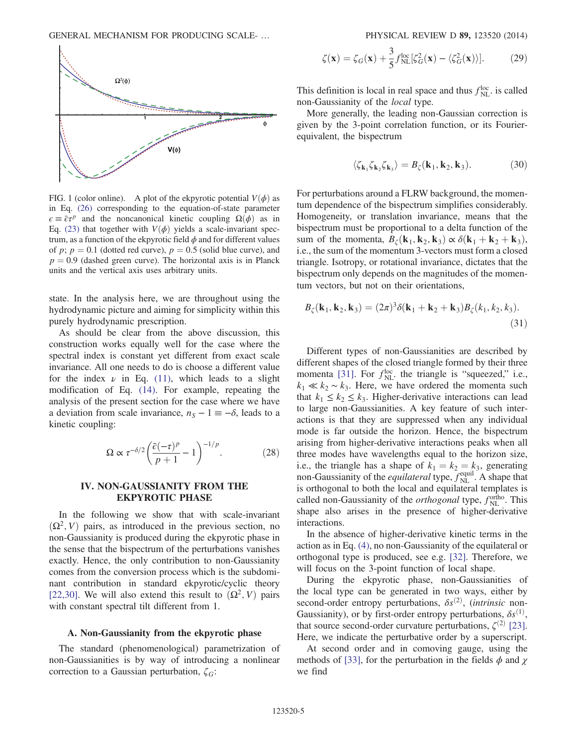<span id="page-4-1"></span>

FIG. 1 (color online). A plot of the ekpyrotic potential  $V(\phi)$  as in Eq. [\(26\)](#page-3-5) corresponding to the equation-of-state parameter  $\epsilon = \bar{\epsilon} \tau^p$  and the noncanonical kinetic coupling  $\Omega(\phi)$  as in Eq. [\(23\)](#page-3-6) that together with  $V(\phi)$  yields a scale-invariant spectrum, as a function of the ekpyrotic field  $\phi$  and for different values of p;  $p = 0.1$  (dotted red curve),  $p = 0.5$  (solid blue curve), and  $p = 0.9$  (dashed green curve). The horizontal axis is in Planck units and the vertical axis uses arbitrary units.

state. In the analysis here, we are throughout using the hydrodynamic picture and aiming for simplicity within this purely hydrodynamic prescription.

As should be clear from the above discussion, this construction works equally well for the case where the spectral index is constant yet different from exact scale invariance. All one needs to do is choose a different value for the index  $\nu$  in Eq. [\(11\)](#page-2-3), which leads to a slight modification of Eq. [\(14\).](#page-2-4) For example, repeating the analysis of the present section for the case where we have a deviation from scale invariance,  $n_S - 1 \equiv -\delta$ , leads to a kinetic coupling:

$$
\Omega \propto \tau^{-\delta/2} \left( \frac{\bar{\epsilon}(-\tau)^p}{p+1} - 1 \right)^{-1/p} . \tag{28}
$$

## <span id="page-4-0"></span>IV. NON-GAUSSIANITY FROM THE EKPYROTIC PHASE

In the following we show that with scale-invariant  $(\Omega^2, V)$  pairs, as introduced in the previous section, no non-Gaussianity is produced during the ekpyrotic phase in the sense that the bispectrum of the perturbations vanishes exactly. Hence, the only contribution to non-Gaussianity comes from the conversion process which is the subdominant contribution in standard ekpyrotic/cyclic theory [\[22,30\]](#page-7-17). We will also extend this result to  $(\Omega^2, V)$  pairs with constant spectral tilt different from 1.

### A. Non-Gaussianity from the ekpyrotic phase

The standard (phenomenological) parametrization of non-Gaussianities is by way of introducing a nonlinear correction to a Gaussian perturbation,  $\zeta_G$ :

$$
\zeta(\mathbf{x}) = \zeta_G(\mathbf{x}) + \frac{3}{5} f_{\text{NL}}^{\text{loc}}[\zeta_G^2(\mathbf{x}) - \langle \zeta_G^2(\mathbf{x}) \rangle]. \tag{29}
$$

This definition is local in real space and thus  $f_{\text{NL}}^{\text{loc}}$ . is called non-Gaussianity of the local type.

More generally, the leading non-Gaussian correction is given by the 3-point correlation function, or its Fourierequivalent, the bispectrum

$$
\langle \zeta_{\mathbf{k}_1} \zeta_{\mathbf{k}_2} \zeta_{\mathbf{k}_3} \rangle = B_{\zeta}(\mathbf{k}_1, \mathbf{k}_2, \mathbf{k}_3). \tag{30}
$$

For perturbations around a FLRW background, the momentum dependence of the bispectrum simplifies considerably. Homogeneity, or translation invariance, means that the bispectrum must be proportional to a delta function of the sum of the momenta,  $B_{\zeta}(\mathbf{k}_1, \mathbf{k}_2, \mathbf{k}_3) \propto \delta(\mathbf{k}_1 + \mathbf{k}_2 + \mathbf{k}_3)$ , i.e., the sum of the momentum 3-vectors must form a closed triangle. Isotropy, or rotational invariance, dictates that the bispectrum only depends on the magnitudes of the momentum vectors, but not on their orientations,

$$
B_{\zeta}(\mathbf{k}_1, \mathbf{k}_2, \mathbf{k}_3) = (2\pi)^3 \delta(\mathbf{k}_1 + \mathbf{k}_2 + \mathbf{k}_3) B_{\zeta}(k_1, k_2, k_3).
$$
\n(31)

Different types of non-Gaussianities are described by different shapes of the closed triangle formed by their three momenta [\[31\].](#page-7-18) For  $f_{\text{NL}}^{\text{loc}}$  the triangle is "squeezed," i.e.,  $k_1 \ll k_2 \sim k_3$ . Here, we have ordered the momenta such that  $k_1 \leq k_2 \leq k_3$ . Higher-derivative interactions can lead to large non-Gaussianities. A key feature of such interactions is that they are suppressed when any individual mode is far outside the horizon. Hence, the bispectrum arising from higher-derivative interactions peaks when all three modes have wavelengths equal to the horizon size, i.e., the triangle has a shape of  $k_1 = k_2 = k_3$ , generating non-Gaussianity of the *equilateral* type,  $f_{NL}^{equil}$ . A shape that is orthogonal to both the local and equilateral templates is called non-Gaussianity of the *orthogonal* type,  $f_{NL}^{\text{ortho}}$ . This shape also arises in the presence of higher-derivative interactions.

In the absence of higher-derivative kinetic terms in the action as in Eq. [\(4\)](#page-1-1), no non-Gaussianity of the equilateral or orthogonal type is produced, see e.g. [\[32\]](#page-7-19). Therefore, we will focus on the 3-point function of local shape.

During the ekpyrotic phase, non-Gaussianities of the local type can be generated in two ways, either by second-order entropy perturbations,  $\delta s^{(2)}$ , (intrinsic non-Gaussianity), or by first-order entropy perturbations,  $\delta s^{(1)}$ , that source second-order curvature perturbations,  $\zeta^{(2)}$  [\[23\]](#page-7-20). Here, we indicate the perturbative order by a superscript.

<span id="page-4-2"></span>At second order and in comoving gauge, using the methods of [\[33\],](#page-7-21) for the perturbation in the fields  $\phi$  and  $\chi$ we find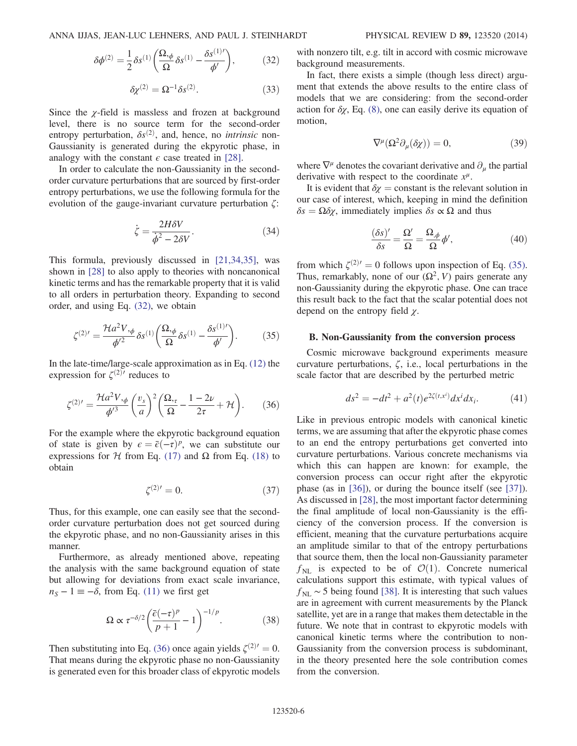$$
\delta \phi^{(2)} = \frac{1}{2} \delta s^{(1)} \left( \frac{\Omega_{,\phi}}{\Omega} \delta s^{(1)} - \frac{\delta s^{(1) \prime}}{\phi'} \right),\tag{32}
$$

$$
\delta \chi^{(2)} = \Omega^{-1} \delta s^{(2)}.
$$
 (33)

Since the  $\chi$ -field is massless and frozen at background level, there is no source term for the second-order entropy perturbation,  $\delta s^{(2)}$ , and, hence, no *intrinsic* non-Gaussianity is generated during the ekpyrotic phase, in analogy with the constant  $\epsilon$  case treated in [\[28\].](#page-7-15)

In order to calculate the non-Gaussianity in the secondorder curvature perturbations that are sourced by first-order entropy perturbations, we use the following formula for the evolution of the gauge-invariant curvature perturbation  $\zeta$ :

$$
\dot{\zeta} = \frac{2H\delta V}{\dot{\phi}^2 - 2\delta V}.
$$
\n(34)

This formula, previously discussed in [\[21,34,35\]](#page-7-22), was shown in [\[28\]](#page-7-15) to also apply to theories with noncanonical kinetic terms and has the remarkable property that it is valid to all orders in perturbation theory. Expanding to second order, and using Eq. [\(32\),](#page-4-2) we obtain

<span id="page-5-1"></span>
$$
\zeta^{(2)'} = \frac{\mathcal{H}a^2 V_{,\phi}}{\phi'^2} \delta s^{(1)} \left( \frac{\Omega_{,\phi}}{\Omega} \delta s^{(1)} - \frac{\delta s^{(1)'} }{\phi'} \right). \tag{35}
$$

<span id="page-5-0"></span>In the late-time/large-scale approximation as in Eq. [\(12\)](#page-2-5) the expression for  $\zeta^{(2)}$ <sup> $\prime$ </sup> reduces to

$$
\zeta^{(2)'} = \frac{\mathcal{H}a^2 V_{,\phi}}{\phi'^3} \left(\frac{v_s}{a}\right)^2 \left(\frac{\Omega_{,\tau}}{\Omega} - \frac{1-2\nu}{2\tau} + \mathcal{H}\right). \tag{36}
$$

For the example where the ekpyrotic background equation of state is given by  $\epsilon = \bar{\epsilon}(-\tau)^p$ , we can substitute our expressions for *H* from Eq. [\(17\)](#page-3-0) and  $Ω$  from Eq. [\(18\)](#page-3-2) to obtain

$$
\zeta^{(2)'} = 0.\tag{37}
$$

Thus, for this example, one can easily see that the secondorder curvature perturbation does not get sourced during the ekpyrotic phase, and no non-Gaussianity arises in this manner.

Furthermore, as already mentioned above, repeating the analysis with the same background equation of state but allowing for deviations from exact scale invariance,  $n<sub>S</sub> - 1 \equiv -\delta$ , from Eq. [\(11\)](#page-2-3) we first get

$$
\Omega \propto \tau^{-\delta/2} \left( \frac{\bar{\varepsilon}(-\tau)^p}{p+1} - 1 \right)^{-1/p} . \tag{38}
$$

Then substituting into Eq. [\(36\)](#page-5-0) once again yields  $\zeta^{(2)'}=0$ . That means during the ekpyrotic phase no non-Gaussianity is generated even for this broader class of ekpyrotic models with nonzero tilt, e.g. tilt in accord with cosmic microwave background measurements.

In fact, there exists a simple (though less direct) argument that extends the above results to the entire class of models that we are considering: from the second-order action for  $\delta \chi$ , Eq. [\(8\),](#page-2-6) one can easily derive its equation of motion,

$$
\nabla^{\mu}(\Omega^{2}\partial_{\mu}(\delta\chi)) = 0, \qquad (39)
$$

where  $\nabla^{\mu}$  denotes the covariant derivative and  $\partial_{\mu}$  the partial derivative with respect to the coordinate  $x^{\mu}$ .

It is evident that  $\delta \chi = \text{constant}$  is the relevant solution in our case of interest, which, keeping in mind the definition  $\delta s = \Omega \delta \chi$ , immediately implies  $\delta s \propto \Omega$  and thus

$$
\frac{(\delta s)'}{\delta s} = \frac{\Omega'}{\Omega} = \frac{\Omega_{,\phi}}{\Omega} \phi',\tag{40}
$$

from which  $\zeta^{(2)'}=0$  follows upon inspection of Eq. [\(35\)](#page-5-1). Thus, remarkably, none of our  $(\Omega^2, V)$  pairs generate any non-Gaussianity during the ekpyrotic phase. One can trace this result back to the fact that the scalar potential does not depend on the entropy field  $\chi$ .

### B. Non-Gaussianity from the conversion process

Cosmic microwave background experiments measure curvature perturbations,  $\zeta$ , i.e., local perturbations in the scale factor that are described by the perturbed metric

$$
ds^{2} = -dt^{2} + a^{2}(t)e^{2\zeta(t,x^{i})}dx^{i}dx_{i}.
$$
 (41)

Like in previous entropic models with canonical kinetic terms, we are assuming that after the ekpyrotic phase comes to an end the entropy perturbations get converted into curvature perturbations. Various concrete mechanisms via which this can happen are known: for example, the conversion process can occur right after the ekpyrotic phase (as in [\[36\]\)](#page-7-23), or during the bounce itself (see [\[37\]](#page-7-24)). As discussed in [\[28\],](#page-7-15) the most important factor determining the final amplitude of local non-Gaussianity is the efficiency of the conversion process. If the conversion is efficient, meaning that the curvature perturbations acquire an amplitude similar to that of the entropy perturbations that source them, then the local non-Gaussianity parameter  $f_{NL}$  is expected to be of  $\mathcal{O}(1)$ . Concrete numerical calculations support this estimate, with typical values of  $f_{\text{NL}} \sim 5$  being found [\[38\].](#page-7-25) It is interesting that such values are in agreement with current measurements by the Planck satellite, yet are in a range that makes them detectable in the future. We note that in contrast to ekpyrotic models with canonical kinetic terms where the contribution to non-Gaussianity from the conversion process is subdominant, in the theory presented here the sole contribution comes from the conversion.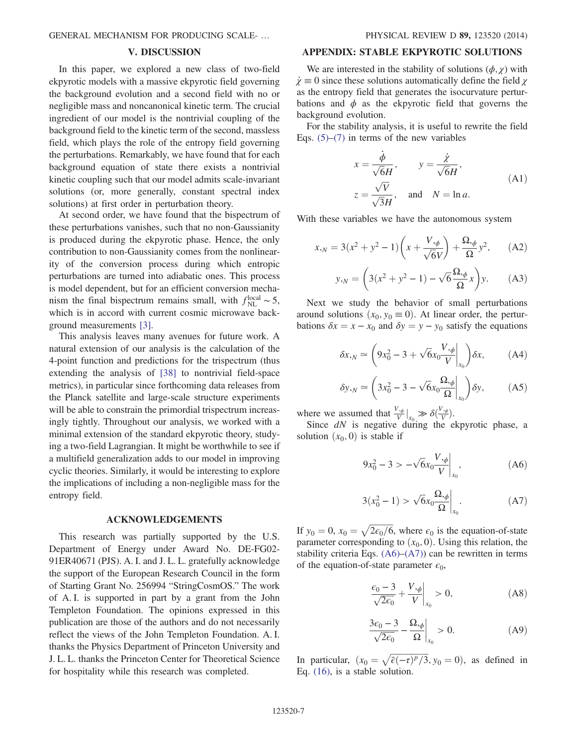### V. DISCUSSION

<span id="page-6-0"></span>In this paper, we explored a new class of two-field ekpyrotic models with a massive ekpyrotic field governing the background evolution and a second field with no or negligible mass and noncanonical kinetic term. The crucial ingredient of our model is the nontrivial coupling of the background field to the kinetic term of the second, massless field, which plays the role of the entropy field governing the perturbations. Remarkably, we have found that for each background equation of state there exists a nontrivial kinetic coupling such that our model admits scale-invariant solutions (or, more generally, constant spectral index solutions) at first order in perturbation theory.

At second order, we have found that the bispectrum of these perturbations vanishes, such that no non-Gaussianity is produced during the ekpyrotic phase. Hence, the only contribution to non-Gaussianity comes from the nonlinearity of the conversion process during which entropic perturbations are turned into adiabatic ones. This process is model dependent, but for an efficient conversion mechanism the final bispectrum remains small, with  $f_{NL}^{local} \sim 5$ , which is in accord with current cosmic microwave background measurements [\[3\]](#page-7-26).

This analysis leaves many avenues for future work. A natural extension of our analysis is the calculation of the 4-point function and predictions for the trispectrum (thus extending the analysis of [\[38\]](#page-7-25) to nontrivial field-space metrics), in particular since forthcoming data releases from the Planck satellite and large-scale structure experiments will be able to constrain the primordial trispectrum increasingly tightly. Throughout our analysis, we worked with a minimal extension of the standard ekpyrotic theory, studying a two-field Lagrangian. It might be worthwhile to see if a multifield generalization adds to our model in improving cyclic theories. Similarly, it would be interesting to explore the implications of including a non-negligible mass for the entropy field.

#### ACKNOWLEDGEMENTS

This research was partially supported by the U.S. Department of Energy under Award No. DE-FG02- 91ER40671 (PJS). A. I. and J. L. L. gratefully acknowledge the support of the European Research Council in the form of Starting Grant No. 256994 "StringCosmOS." The work of A. I. is supported in part by a grant from the John Templeton Foundation. The opinions expressed in this publication are those of the authors and do not necessarily reflect the views of the John Templeton Foundation. A. I. thanks the Physics Department of Princeton University and J. L. L. thanks the Princeton Center for Theoretical Science for hospitality while this research was completed.

### APPENDIX: STABLE EKPYROTIC SOLUTIONS

We are interested in the stability of solutions  $(\phi, \chi)$  with  $\dot{\chi} \equiv 0$  since these solutions automatically define the field  $\chi$ as the entropy field that generates the isocurvature perturbations and  $\phi$  as the ekpyrotic field that governs the background evolution.

For the stability analysis, it is useful to rewrite the field Eqs.  $(5)-(7)$  $(5)-(7)$  $(5)-(7)$  in terms of the new variables

$$
x = \frac{\dot{\phi}}{\sqrt{6}H}, \qquad y = \frac{\dot{\chi}}{\sqrt{6}H},
$$
  
\n
$$
z = \frac{\sqrt{V}}{\sqrt{3}H}, \text{ and } N = \ln a.
$$
 (A1)

With these variables we have the autonomous system

$$
x_{,N} = 3(x^2 + y^2 - 1) \left( x + \frac{V_{,\phi}}{\sqrt{6}V} \right) + \frac{\Omega_{,\phi}}{\Omega} y^2, \quad (A2)
$$

$$
y_{N} = \left(3(x^2 + y^2 - 1) - \sqrt{6}\frac{\Omega_{N}}{\Omega}x\right)y.
$$
 (A3)

Next we study the behavior of small perturbations around solutions  $(x_0, y_0 \equiv 0)$ . At linear order, the perturbations  $\delta x = x - x_0$  and  $\delta y = y - y_0$  satisfy the equations

$$
\delta x_{,N} \simeq \left(9x_0^2 - 3 + \sqrt{6}x_0 \frac{V_{,\phi}}{V}\bigg|_{x_0}\right) \delta x, \tag{A4}
$$

$$
\delta y_{,N} \simeq \left(3x_0^2 - 3 - \sqrt{6}x_0 \frac{\Omega_{,\phi}}{\Omega}\bigg|_{x_0}\right) \delta y,\tag{A5}
$$

where we assumed that  $\frac{V_{\phi}}{V}|_{x_0} \gg \delta(\frac{V_{\phi}}{V}).$ 

Since  $dN$  is negative during the ekpyrotic phase, a solution  $(x_0, 0)$  is stable if

$$
9x_0^2 - 3 > -\sqrt{6x_0} \frac{V_{,\phi}}{V} \bigg|_{x_0}, \tag{A6}
$$

$$
3(x_0^2 - 1) > \sqrt{6x_0} \frac{\Omega_{\phi}}{\Omega} \bigg|_{x_0}.
$$
 (A7)

<span id="page-6-1"></span>If  $y_0 = 0$ ,  $x_0 = \sqrt{2\epsilon_0/6}$ , where  $\epsilon_0$  is the equation-of-state parameter corresponding to  $(x_0, 0)$ . Using this relation, the stability criteria Eqs.  $(A6)$ – $(A7)$ ) can be rewritten in terms of the equation-of-state parameter  $\epsilon_0$ ,

$$
\left. \frac{\epsilon_0 - 3}{\sqrt{2\epsilon_0}} + \frac{V_{,\phi}}{V} \right|_{x_0} > 0,\tag{A8}
$$

$$
\frac{3\epsilon_0 - 3}{\sqrt{2\epsilon_0}} - \frac{\Omega_{,\phi}}{\Omega} \bigg|_{x_0} > 0. \tag{A9}
$$

In particular,  $(x_0 = \sqrt{\overline{\epsilon}(-\tau)^p/3}, y_0 = 0)$ , as defined in Eq. [\(16\)](#page-2-9), is a stable solution.